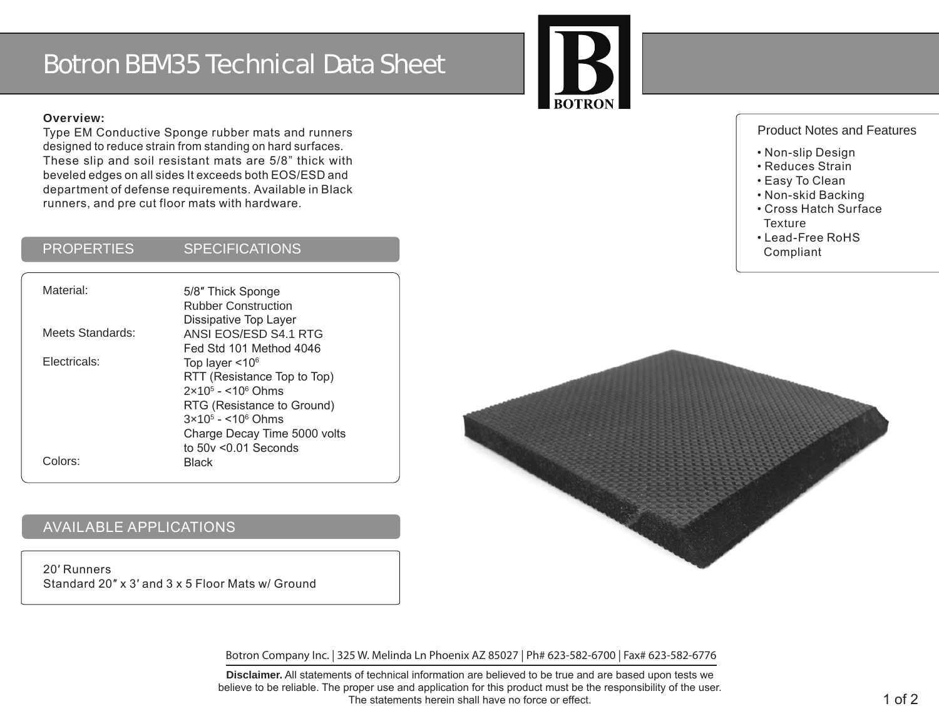# Botron BEM35 Technical Data Sheet



#### **Overview:**

Type EM Conductive Sponge rubber mats and runners designed to reduce strain from standing on hard surfaces. These slip and soil resistant mats are 5/8" thick with beveled edges on all sides It exceeds both EOS/ESD and department of defense requirements. Available in Black runners, and pre cut floor mats with hardware.

#### PROPERTIES SPECIFICATIONS

| Material:        | 5/8" Thick Sponge<br><b>Rubber Construction</b><br>Dissipative Top Layer                                                                                                                              |
|------------------|-------------------------------------------------------------------------------------------------------------------------------------------------------------------------------------------------------|
| Meets Standards: | ANSI EOS/ESD S4.1 RTG<br>Fed Std 101 Method 4046                                                                                                                                                      |
| Electricals:     | Top layer $<$ 10 $6$<br>RTT (Resistance Top to Top)<br>$2 \times 10^5 - 10^6$ Ohms<br>RTG (Resistance to Ground)<br>$3x10^5 - 10^6$ Ohms<br>Charge Decay Time 5000 volts<br>to $50v \le 0.01$ Seconds |
| Colors:          | <b>Black</b>                                                                                                                                                                                          |

# AVAILABLE APPLICATIONS

20′ Runners Standard 20″ x 3′ and 3 x 5 Floor Mats w/ Ground

Botron Company Inc. | 325 W. Melinda Ln Phoenix AZ 85027 | Ph# 623-582-6700 | Fax# 623-582-6776

**Disclaimer.** All statements of technical information are believed to be true and are based upon tests we believe to be reliable. The proper use and application for this product must be the responsibility of the user. The statements herein shall have no force or effect.

#### Product Notes and Features

- Non-slip Design
- Reduces Strain
- Easy To Clean
- Non-skid Backing
- Cross Hatch Surface **Texture**
- Lead-Free RoHS Compliant